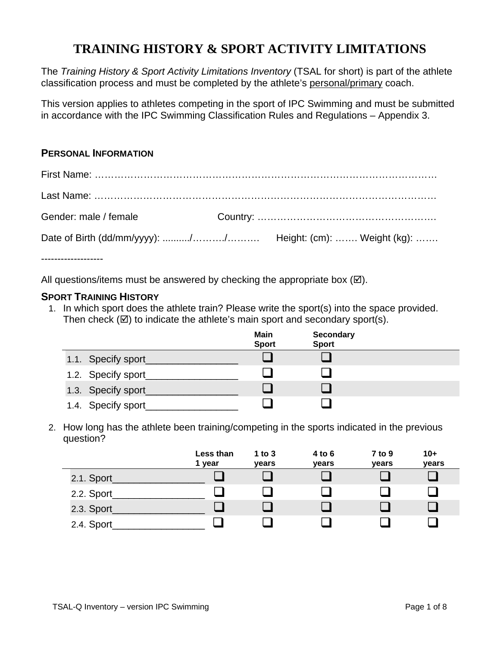# **TRAINING HISTORY & SPORT ACTIVITY LIMITATIONS**

The *Training History & Sport Activity Limitations Inventory* (TSAL for short) is part of the athlete classification process and must be completed by the athlete's personal/primary coach.

This version applies to athletes competing in the sport of IPC Swimming and must be submitted in accordance with the IPC Swimming Classification Rules and Regulations – Appendix 3.

### **PERSONAL INFORMATION**

| Gender: male / female |  |
|-----------------------|--|
|                       |  |

-------------------

All questions/items must be answered by checking the appropriate box  $(\boxtimes)$ .

#### **SPORT TRAINING HISTORY**

1. In which sport does the athlete train? Please write the sport(s) into the space provided. Then check  $(\boxtimes)$  to indicate the athlete's main sport and secondary sport(s).

|                    | Main<br><b>Sport</b> | <b>Secondary</b><br><b>Sport</b> |  |
|--------------------|----------------------|----------------------------------|--|
| 1.1. Specify sport |                      |                                  |  |
| 1.2. Specify sport |                      |                                  |  |
| 1.3. Specify sport |                      |                                  |  |
| 1.4. Specify sport |                      |                                  |  |

2. How long has the athlete been training/competing in the sports indicated in the previous question?

|             | Less than<br>1 year | 1 to $3$<br>years | 4 to 6<br>years | $7$ to 9<br>years | $10+$<br>years |
|-------------|---------------------|-------------------|-----------------|-------------------|----------------|
| 2.1. Sport_ |                     |                   |                 |                   |                |
| 2.2. Sport_ |                     |                   |                 |                   |                |
| 2.3. Sport_ |                     |                   |                 |                   |                |
| 2.4. Sport_ |                     |                   |                 |                   |                |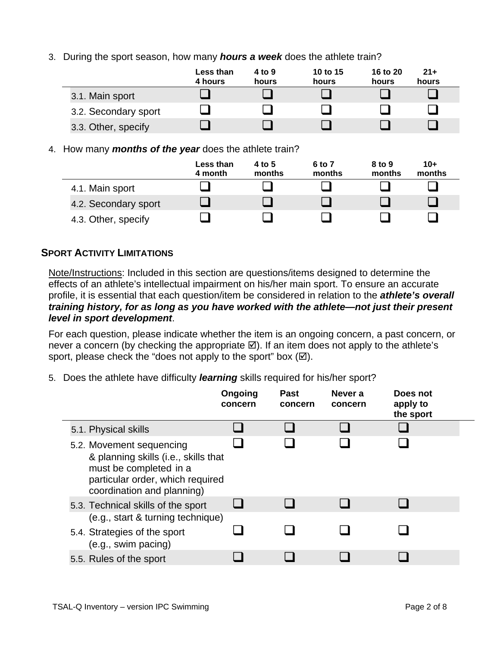3. During the sport season, how many *hours a week* does the athlete train?

|                      | <b>Less than</b><br>4 hours | 4 to 9<br>hours | 10 to 15<br>hours | 16 to 20<br>hours | $21+$<br>hours |
|----------------------|-----------------------------|-----------------|-------------------|-------------------|----------------|
| 3.1. Main sport      |                             |                 |                   |                   |                |
| 3.2. Secondary sport |                             |                 |                   |                   |                |
| 3.3. Other, specify  |                             |                 |                   |                   |                |

4. How many *months of the year* does the athlete train?

|                      | Less than<br>4 month | 4 to 5<br>months | 6 to 7<br>months | 8 to 9<br>months | $10+$<br>months |
|----------------------|----------------------|------------------|------------------|------------------|-----------------|
| 4.1. Main sport      |                      |                  |                  |                  |                 |
| 4.2. Secondary sport |                      |                  |                  |                  |                 |
| 4.3. Other, specify  |                      |                  |                  |                  |                 |

### **SPORT ACTIVITY LIMITATIONS**

Note/Instructions: Included in this section are questions/items designed to determine the effects of an athlete's intellectual impairment on his/her main sport. To ensure an accurate profile, it is essential that each question/item be considered in relation to the *athlete's overall training history, for as long as you have worked with the athlete—not just their present level in sport development*.

For each question, please indicate whether the item is an ongoing concern, a past concern, or never a concern (by checking the appropriate  $\boxtimes$ ). If an item does not apply to the athlete's sport, please check the "does not apply to the sport" box  $(\boxtimes)$ .

5. Does the athlete have difficulty *learning* skills required for his/her sport?

|                                                                                                                                                              | Ongoing<br>concern | <b>Past</b><br>concern | Never a<br>concern | Does not<br>apply to<br>the sport |  |
|--------------------------------------------------------------------------------------------------------------------------------------------------------------|--------------------|------------------------|--------------------|-----------------------------------|--|
| 5.1. Physical skills                                                                                                                                         |                    |                        |                    |                                   |  |
| 5.2. Movement sequencing<br>& planning skills (i.e., skills that<br>must be completed in a<br>particular order, which required<br>coordination and planning) |                    |                        |                    |                                   |  |
| 5.3. Technical skills of the sport                                                                                                                           |                    |                        |                    |                                   |  |
| (e.g., start & turning technique)<br>5.4. Strategies of the sport<br>(e.g., swim pacing)                                                                     |                    |                        |                    |                                   |  |
| 5.5. Rules of the sport                                                                                                                                      |                    |                        |                    |                                   |  |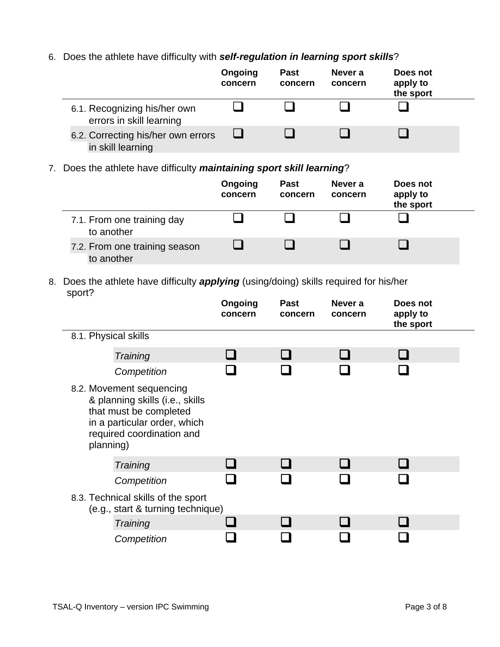### 6. Does the athlete have difficulty with *self-regulation in learning sport skills*?

|                                                          | Ongoing<br>concern | <b>Past</b><br>concern | Never a<br>concern | Does not<br>apply to<br>the sport |  |
|----------------------------------------------------------|--------------------|------------------------|--------------------|-----------------------------------|--|
| 6.1. Recognizing his/her own<br>errors in skill learning |                    |                        |                    |                                   |  |
| 6.2. Correcting his/her own errors<br>in skill learning  |                    |                        |                    |                                   |  |

7. Does the athlete have difficulty *maintaining sport skill learning*?

|                                             | Ongoing<br>concern | <b>Past</b><br>concern | Never a<br>concern | Does not<br>apply to<br>the sport |  |
|---------------------------------------------|--------------------|------------------------|--------------------|-----------------------------------|--|
| 7.1. From one training day<br>to another    |                    |                        |                    |                                   |  |
| 7.2. From one training season<br>to another |                    |                        |                    |                                   |  |

#### 8. Does the athlete have difficulty *applying* (using/doing) skills required for his/her sport?

|                                                                                                                                                                 | Ongoing<br>concern | <b>Past</b><br>concern | Never a<br>concern | Does not<br>apply to<br>the sport |  |
|-----------------------------------------------------------------------------------------------------------------------------------------------------------------|--------------------|------------------------|--------------------|-----------------------------------|--|
| 8.1. Physical skills                                                                                                                                            |                    |                        |                    |                                   |  |
| Training                                                                                                                                                        |                    |                        |                    |                                   |  |
| Competition                                                                                                                                                     |                    |                        |                    |                                   |  |
| 8.2. Movement sequencing<br>& planning skills (i.e., skills<br>that must be completed<br>in a particular order, which<br>required coordination and<br>planning) |                    |                        |                    |                                   |  |
| Training                                                                                                                                                        |                    |                        |                    |                                   |  |
| Competition                                                                                                                                                     |                    |                        |                    |                                   |  |
| 8.3. Technical skills of the sport<br>(e.g., start & turning technique)                                                                                         |                    |                        |                    |                                   |  |
| Training                                                                                                                                                        |                    |                        |                    |                                   |  |
| Competition                                                                                                                                                     |                    |                        |                    |                                   |  |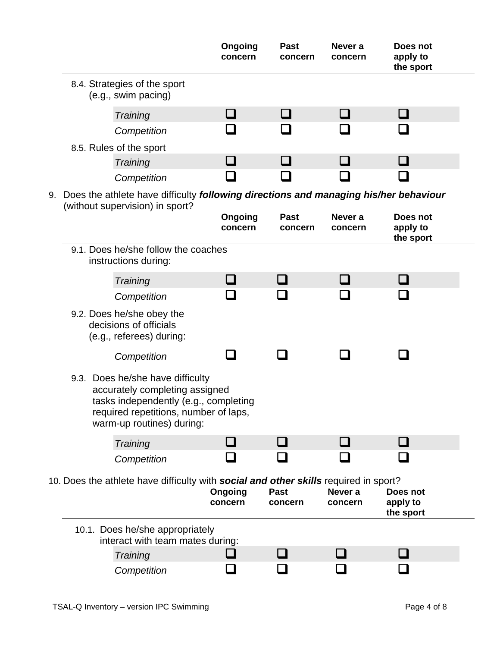|    |                                                                                                                                                                                   | Ongoing<br>concern | <b>Past</b><br>concern | Never a<br>concern | Does not<br>apply to<br>the sport |  |
|----|-----------------------------------------------------------------------------------------------------------------------------------------------------------------------------------|--------------------|------------------------|--------------------|-----------------------------------|--|
|    | 8.4. Strategies of the sport<br>(e.g., swim pacing)                                                                                                                               |                    |                        |                    |                                   |  |
|    | Training                                                                                                                                                                          |                    |                        |                    |                                   |  |
|    | Competition                                                                                                                                                                       |                    |                        |                    |                                   |  |
|    | 8.5. Rules of the sport                                                                                                                                                           |                    |                        |                    |                                   |  |
|    | Training                                                                                                                                                                          |                    |                        |                    |                                   |  |
|    | Competition                                                                                                                                                                       |                    |                        |                    |                                   |  |
| 9. | Does the athlete have difficulty following directions and managing his/her behaviour                                                                                              |                    |                        |                    |                                   |  |
|    | (without supervision) in sport?                                                                                                                                                   | Ongoing<br>concern | <b>Past</b><br>concern | Never a<br>concern | Does not<br>apply to<br>the sport |  |
|    | 9.1. Does he/she follow the coaches<br>instructions during:                                                                                                                       |                    |                        |                    |                                   |  |
|    | Training                                                                                                                                                                          |                    | - 1                    |                    |                                   |  |
|    | Competition                                                                                                                                                                       |                    |                        |                    |                                   |  |
|    | 9.2. Does he/she obey the<br>decisions of officials<br>(e.g., referees) during:                                                                                                   |                    |                        |                    |                                   |  |
|    | Competition                                                                                                                                                                       |                    |                        |                    |                                   |  |
|    | 9.3. Does he/she have difficulty<br>accurately completing assigned<br>tasks independently (e.g., completing<br>required repetitions, number of laps,<br>warm-up routines) during: |                    |                        |                    |                                   |  |
|    | Training                                                                                                                                                                          |                    |                        |                    |                                   |  |
|    | Competition                                                                                                                                                                       |                    |                        |                    |                                   |  |
|    | 10. Does the athlete have difficulty with social and other skills required in sport?                                                                                              | Ongoing<br>concern | Past<br>concern        | Never a<br>concern | Does not<br>apply to<br>the sport |  |
|    | 10.1. Does he/she appropriately                                                                                                                                                   |                    |                        |                    |                                   |  |
|    | interact with team mates during:                                                                                                                                                  |                    |                        |                    |                                   |  |
|    | Training                                                                                                                                                                          |                    |                        |                    |                                   |  |
|    | Competition                                                                                                                                                                       |                    |                        |                    |                                   |  |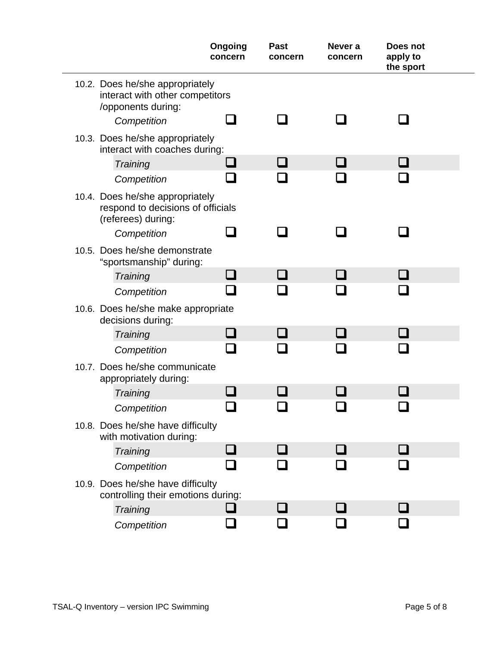|                                                                                            | Ongoing<br>concern | <b>Past</b><br>concern | Never a<br>concern | Does not<br>apply to<br>the sport |  |
|--------------------------------------------------------------------------------------------|--------------------|------------------------|--------------------|-----------------------------------|--|
| 10.2. Does he/she appropriately<br>interact with other competitors<br>/opponents during:   |                    |                        |                    |                                   |  |
| Competition                                                                                |                    |                        |                    |                                   |  |
| 10.3. Does he/she appropriately<br>interact with coaches during:                           |                    |                        |                    |                                   |  |
| Training                                                                                   |                    |                        |                    |                                   |  |
| Competition                                                                                |                    |                        |                    |                                   |  |
| 10.4. Does he/she appropriately<br>respond to decisions of officials<br>(referees) during: |                    |                        |                    |                                   |  |
| Competition                                                                                |                    |                        |                    |                                   |  |
| 10.5. Does he/she demonstrate<br>"sportsmanship" during:                                   |                    |                        |                    |                                   |  |
| Training                                                                                   |                    |                        |                    |                                   |  |
| Competition                                                                                |                    |                        |                    |                                   |  |
| 10.6. Does he/she make appropriate<br>decisions during:                                    |                    |                        |                    |                                   |  |
| Training                                                                                   |                    |                        |                    |                                   |  |
| Competition                                                                                |                    |                        |                    |                                   |  |
| 10.7. Does he/she communicate<br>appropriately during:                                     |                    |                        |                    |                                   |  |
| Training                                                                                   |                    |                        |                    |                                   |  |
| Competition                                                                                |                    |                        |                    |                                   |  |
| 10.8. Does he/she have difficulty<br>with motivation during:                               |                    |                        |                    |                                   |  |
| Training                                                                                   |                    |                        |                    |                                   |  |
| Competition                                                                                |                    |                        |                    |                                   |  |
| 10.9. Does he/she have difficulty<br>controlling their emotions during:                    |                    |                        |                    |                                   |  |
| Training                                                                                   |                    |                        |                    |                                   |  |
| Competition                                                                                |                    |                        |                    |                                   |  |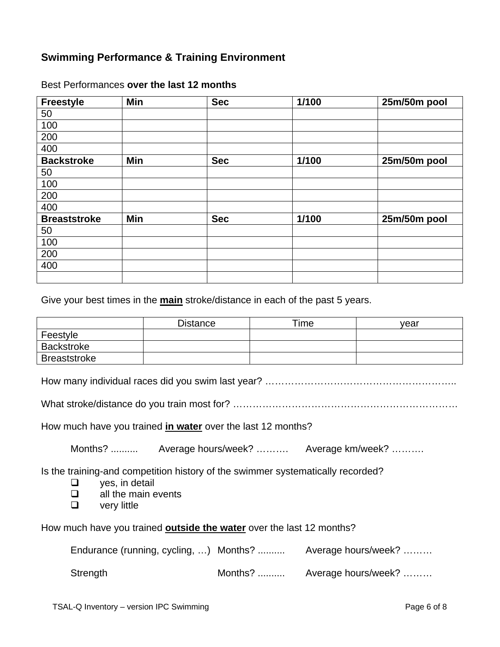## **Swimming Performance & Training Environment**

| <b>Freestyle</b>    | Min | <b>Sec</b> | 1/100 | 25m/50m pool |
|---------------------|-----|------------|-------|--------------|
| 50                  |     |            |       |              |
| 100                 |     |            |       |              |
| 200                 |     |            |       |              |
| 400                 |     |            |       |              |
| <b>Backstroke</b>   | Min | <b>Sec</b> | 1/100 | 25m/50m pool |
| 50                  |     |            |       |              |
| 100                 |     |            |       |              |
| 200                 |     |            |       |              |
| 400                 |     |            |       |              |
| <b>Breaststroke</b> | Min | <b>Sec</b> | 1/100 | 25m/50m pool |
| 50                  |     |            |       |              |
| 100                 |     |            |       |              |
| 200                 |     |            |       |              |
| 400                 |     |            |       |              |
|                     |     |            |       |              |

#### Best Performances **over the last 12 months**

Give your best times in the **main** stroke/distance in each of the past 5 years.

|                     | <b>Distance</b> | Time | vear |
|---------------------|-----------------|------|------|
| Feestyle            |                 |      |      |
| <b>Backstroke</b>   |                 |      |      |
| <b>Breaststroke</b> |                 |      |      |

How many individual races did you swim last year? …………………………………………………..

What stroke/distance do you train most for? ……………………………………………………………

How much have you trained **in water** over the last 12 months?

Months? .......... Average hours/week? ………. Average km/week? ……….

Is the training-and competition history of the swimmer systematically recorded?

- $\Box$  ves, in detail
- $\Box$  all the main events
- $\Box$  very little

How much have you trained **outside the water** over the last 12 months?

| Endurance (running, cycling, ) Months? |         | Average hours/week? |
|----------------------------------------|---------|---------------------|
| Strength                               | Months? | Average hours/week? |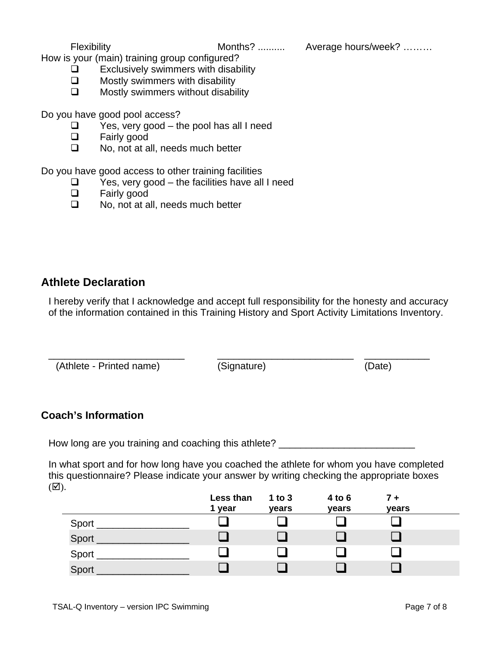Flexibility Months? .......... Average hours/week? ………

How is your (main) training group configured?

- $\Box$  Exclusively swimmers with disability
- $\Box$  Mostly swimmers with disability
- $\Box$  Mostly swimmers without disability

Do you have good pool access?

- $\Box$  Yes, very good the pool has all I need
- **D** Fairly good
- □ No, not at all, needs much better

Do you have good access to other training facilities

- $\Box$  Yes, very good the facilities have all I need
- **D** Fairly good
- □ No, not at all, needs much better

# **Athlete Declaration**

I hereby verify that I acknowledge and accept full responsibility for the honesty and accuracy of the information contained in this Training History and Sport Activity Limitations Inventory.

\_\_\_\_\_\_\_\_\_\_\_\_\_\_\_\_\_\_\_\_\_\_\_\_\_ \_\_\_\_\_\_\_\_\_\_\_\_\_\_\_\_\_\_\_\_\_\_\_\_\_ \_\_\_\_\_\_\_\_\_\_\_\_ (Athlete - Printed name) (Signature) (Date)

### **Coach's Information**

How long are you training and coaching this athlete? \_\_\_\_\_\_\_\_\_\_\_\_\_\_\_\_\_\_\_\_\_\_\_\_\_\_\_

In what sport and for how long have you coached the athlete for whom you have completed this questionnaire? Please indicate your answer by writing checking the appropriate boxes  $(\mathbf{\nabla}).$ 

|         | Less than | 1 to $3$ | 4 to 6 | $7 +$ |  |
|---------|-----------|----------|--------|-------|--|
|         | 1 year    | years    | years  | years |  |
| Sport _ |           |          |        |       |  |
| Sport   |           |          |        |       |  |
| Sport   |           |          |        |       |  |
| Sport   |           |          |        |       |  |